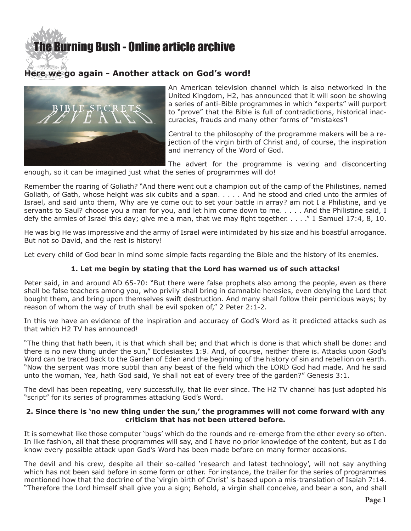# **e Burning Bush - Online article archive**

# **Here we go again - Another attack on God's word!**



An American television channel which is also networked in the United Kingdom, H2, has announced that it will soon be showing a series of anti-Bible programmes in which "experts" will purport to "prove" that the Bible is full of contradictions, historical inaccuracies, frauds and many other forms of "mistakes'!

Central to the philosophy of the programme makers will be a rejection of the virgin birth of Christ and, of course, the inspiration and inerrancy of the Word of God.

The advert for the programme is vexing and disconcerting enough, so it can be imagined just what the series of programmes will do!

Remember the roaring of Goliath? "And there went out a champion out of the camp of the Philistines, named Goliath, of Gath, whose height was six cubits and a span. . . . . And he stood and cried unto the armies of Israel, and said unto them, Why are ye come out to set your battle in array? am not I a Philistine, and ye servants to Saul? choose you a man for you, and let him come down to me. . . . . And the Philistine said, I defy the armies of Israel this day; give me a man, that we may fight together. . . . ." 1 Samuel 17:4, 8, 10.

He was big He was impressive and the army of Israel were intimidated by his size and his boastful arrogance. But not so David, and the rest is history!

Let every child of God bear in mind some simple facts regarding the Bible and the history of its enemies.

## **1. Let me begin by stating that the Lord has warned us of such attacks!**

Peter said, in and around AD 65-70: "But there were false prophets also among the people, even as there shall be false teachers among you, who privily shall bring in damnable heresies, even denying the Lord that bought them, and bring upon themselves swift destruction. And many shall follow their pernicious ways; by reason of whom the way of truth shall be evil spoken of," 2 Peter 2:1-2.

In this we have an evidence of the inspiration and accuracy of God's Word as it predicted attacks such as that which H2 TV has announced!

"The thing that hath been, it is that which shall be; and that which is done is that which shall be done: and there is no new thing under the sun," Ecclesiastes 1:9. And, of course, neither there is. Attacks upon God's Word can be traced back to the Garden of Eden and the beginning of the history of sin and rebellion on earth. "Now the serpent was more subtil than any beast of the field which the LORD God had made. And he said unto the woman, Yea, hath God said, Ye shall not eat of every tree of the garden?" Genesis 3:1.

The devil has been repeating, very successfully, that lie ever since. The H2 TV channel has just adopted his "script" for its series of programmes attacking God's Word.

#### **2. Since there is 'no new thing under the sun,' the programmes will not come forward with any criticism that has not been uttered before.**

It is somewhat like those computer 'bugs' which do the rounds and re-emerge from the ether every so often. In like fashion, all that these programmes will say, and I have no prior knowledge of the content, but as I do know every possible attack upon God's Word has been made before on many former occasions.

The devil and his crew, despite all their so-called 'research and latest technology', will not say anything which has not been said before in some form or other. For instance, the trailer for the series of programmes mentioned how that the doctrine of the 'virgin birth of Christ' is based upon a mis-translation of Isaiah 7:14. "Therefore the Lord himself shall give you a sign; Behold, a virgin shall conceive, and bear a son, and shall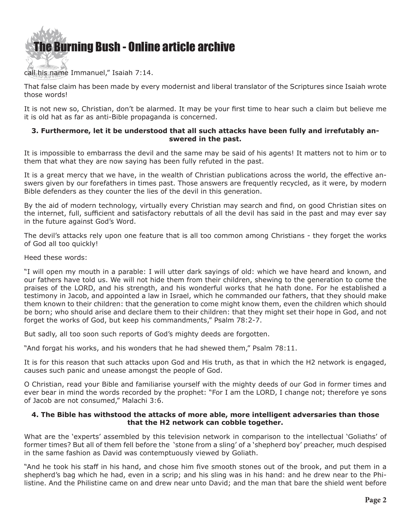

### call his name Immanuel," Isaiah 7:14.

That false claim has been made by every modernist and liberal translator of the Scriptures since Isaiah wrote those words!

It is not new so, Christian, don't be alarmed. It may be your first time to hear such a claim but believe me it is old hat as far as anti-Bible propaganda is concerned.

#### **3. Furthermore, let it be understood that all such attacks have been fully and irrefutably answered in the past.**

It is impossible to embarrass the devil and the same may be said of his agents! It matters not to him or to them that what they are now saying has been fully refuted in the past.

It is a great mercy that we have, in the wealth of Christian publications across the world, the effective answers given by our forefathers in times past. Those answers are frequently recycled, as it were, by modern Bible defenders as they counter the lies of the devil in this generation.

By the aid of modern technology, virtually every Christian may search and find, on good Christian sites on the internet, full, sufficient and satisfactory rebuttals of all the devil has said in the past and may ever say in the future against God's Word.

The devil's attacks rely upon one feature that is all too common among Christians - they forget the works of God all too quickly!

Heed these words:

"I will open my mouth in a parable: I will utter dark sayings of old: which we have heard and known, and our fathers have told us. We will not hide them from their children, shewing to the generation to come the praises of the LORD, and his strength, and his wonderful works that he hath done. For he established a testimony in Jacob, and appointed a law in Israel, which he commanded our fathers, that they should make them known to their children: that the generation to come might know them, even the children which should be born; who should arise and declare them to their children: that they might set their hope in God, and not forget the works of God, but keep his commandments," Psalm 78:2-7.

But sadly, all too soon such reports of God's mighty deeds are forgotten.

"And forgat his works, and his wonders that he had shewed them," Psalm 78:11.

It is for this reason that such attacks upon God and His truth, as that in which the H2 network is engaged, causes such panic and unease amongst the people of God.

O Christian, read your Bible and familiarise yourself with the mighty deeds of our God in former times and ever bear in mind the words recorded by the prophet: "For I am the LORD, I change not; therefore ye sons of Jacob are not consumed," Malachi 3:6.

#### **4. The Bible has withstood the attacks of more able, more intelligent adversaries than those that the H2 network can cobble together.**

What are the 'experts' assembled by this television network in comparison to the intellectual 'Goliaths' of former times? But all of them fell before the 'stone from a sling' of a 'shepherd boy' preacher, much despised in the same fashion as David was contemptuously viewed by Goliath.

"And he took his staff in his hand, and chose him five smooth stones out of the brook, and put them in a shepherd's bag which he had, even in a scrip; and his sling was in his hand: and he drew near to the Philistine. And the Philistine came on and drew near unto David; and the man that bare the shield went before